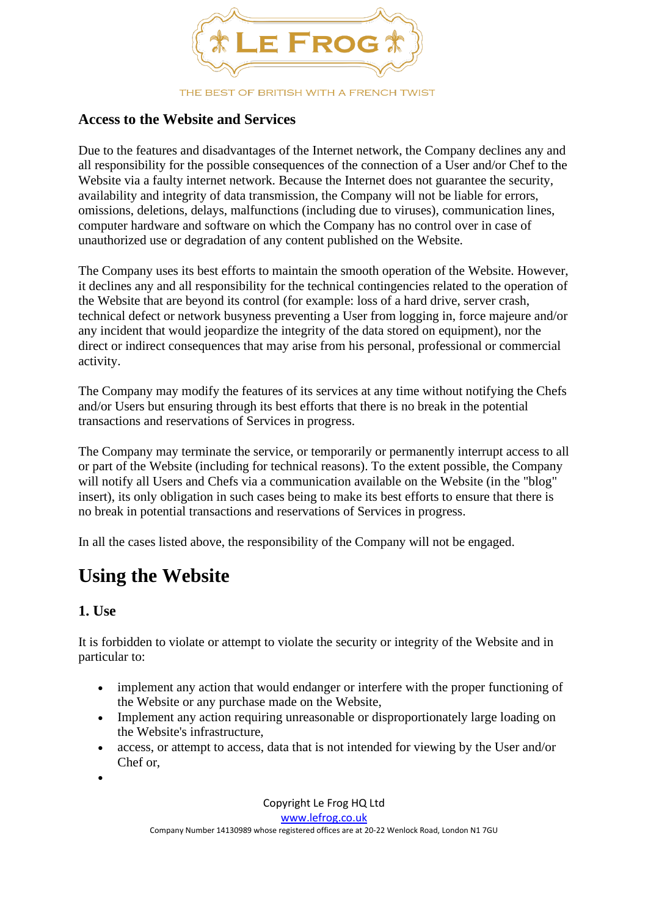

#### **Access to the Website and Services**

Due to the features and disadvantages of the Internet network, the Company declines any and all responsibility for the possible consequences of the connection of a User and/or Chef to the Website via a faulty internet network. Because the Internet does not guarantee the security, availability and integrity of data transmission, the Company will not be liable for errors, omissions, deletions, delays, malfunctions (including due to viruses), communication lines, computer hardware and software on which the Company has no control over in case of unauthorized use or degradation of any content published on the Website.

The Company uses its best efforts to maintain the smooth operation of the Website. However, it declines any and all responsibility for the technical contingencies related to the operation of the Website that are beyond its control (for example: loss of a hard drive, server crash, technical defect or network busyness preventing a User from logging in, force majeure and/or any incident that would jeopardize the integrity of the data stored on equipment), nor the direct or indirect consequences that may arise from his personal, professional or commercial activity.

The Company may modify the features of its services at any time without notifying the Chefs and/or Users but ensuring through its best efforts that there is no break in the potential transactions and reservations of Services in progress.

The Company may terminate the service, or temporarily or permanently interrupt access to all or part of the Website (including for technical reasons). To the extent possible, the Company will notify all Users and Chefs via a communication available on the Website (in the "blog" insert), its only obligation in such cases being to make its best efforts to ensure that there is no break in potential transactions and reservations of Services in progress.

In all the cases listed above, the responsibility of the Company will not be engaged.

## **Using the Website**

#### **1. Use**

It is forbidden to violate or attempt to violate the security or integrity of the Website and in particular to:

- implement any action that would endanger or interfere with the proper functioning of the Website or any purchase made on the Website,
- Implement any action requiring unreasonable or disproportionately large loading on the Website's infrastructure,
- access, or attempt to access, data that is not intended for viewing by the User and/or Chef or,
- •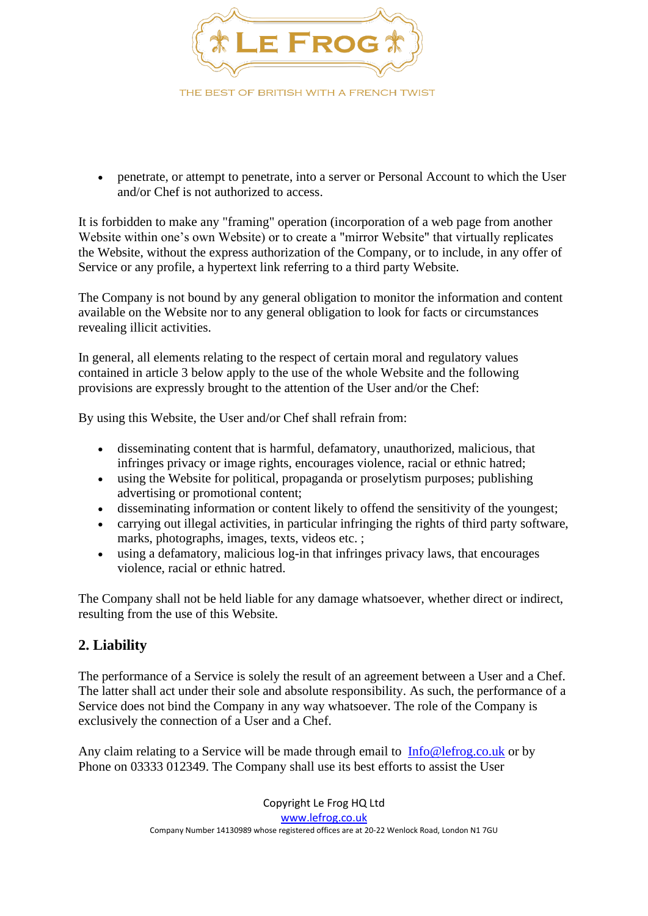

• penetrate, or attempt to penetrate, into a server or Personal Account to which the User and/or Chef is not authorized to access.

It is forbidden to make any "framing" operation (incorporation of a web page from another Website within one's own Website) or to create a "mirror Website" that virtually replicates the Website, without the express authorization of the Company, or to include, in any offer of Service or any profile, a hypertext link referring to a third party Website.

The Company is not bound by any general obligation to monitor the information and content available on the Website nor to any general obligation to look for facts or circumstances revealing illicit activities.

In general, all elements relating to the respect of certain moral and regulatory values contained in article 3 below apply to the use of the whole Website and the following provisions are expressly brought to the attention of the User and/or the Chef:

By using this Website, the User and/or Chef shall refrain from:

- disseminating content that is harmful, defamatory, unauthorized, malicious, that infringes privacy or image rights, encourages violence, racial or ethnic hatred;
- using the Website for political, propaganda or proselytism purposes; publishing advertising or promotional content;
- disseminating information or content likely to offend the sensitivity of the youngest;
- carrying out illegal activities, in particular infringing the rights of third party software, marks, photographs, images, texts, videos etc. ;
- using a defamatory, malicious log-in that infringes privacy laws, that encourages violence, racial or ethnic hatred.

The Company shall not be held liable for any damage whatsoever, whether direct or indirect, resulting from the use of this Website.

#### **2. Liability**

The performance of a Service is solely the result of an agreement between a User and a Chef. The latter shall act under their sole and absolute responsibility. As such, the performance of a Service does not bind the Company in any way whatsoever. The role of the Company is exclusively the connection of a User and a Chef.

Any claim relating to a Service will be made through email to [Info@lefrog.co.uk](mailto:Info@lefrog.co.uk) or by Phone on 03333 012349. The Company shall use its best efforts to assist the User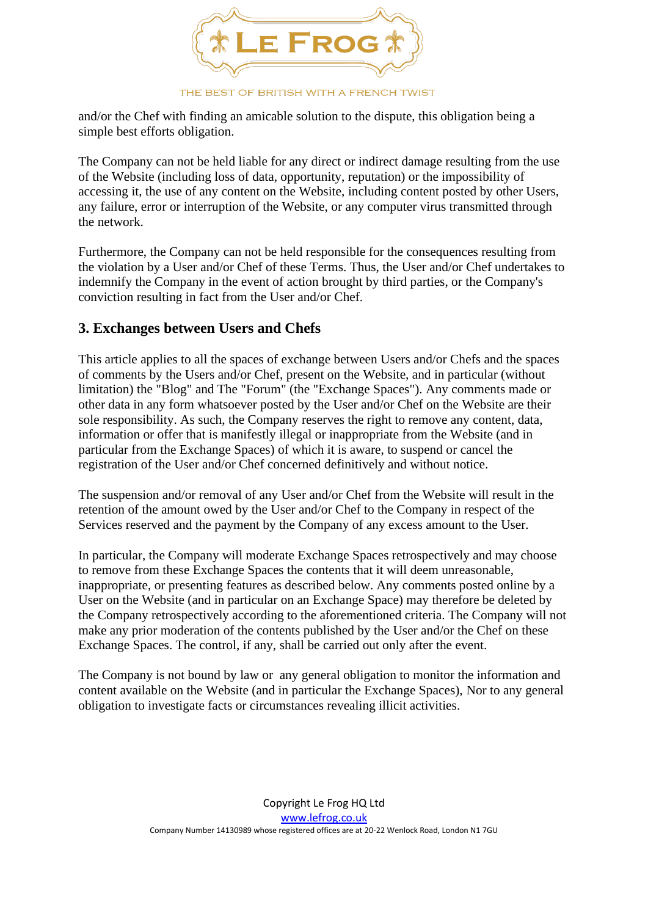

and/or the Chef with finding an amicable solution to the dispute, this obligation being a simple best efforts obligation.

The Company can not be held liable for any direct or indirect damage resulting from the use of the Website (including loss of data, opportunity, reputation) or the impossibility of accessing it, the use of any content on the Website, including content posted by other Users, any failure, error or interruption of the Website, or any computer virus transmitted through the network.

Furthermore, the Company can not be held responsible for the consequences resulting from the violation by a User and/or Chef of these Terms. Thus, the User and/or Chef undertakes to indemnify the Company in the event of action brought by third parties, or the Company's conviction resulting in fact from the User and/or Chef.

#### **3. Exchanges between Users and Chefs**

This article applies to all the spaces of exchange between Users and/or Chefs and the spaces of comments by the Users and/or Chef, present on the Website, and in particular (without limitation) the "Blog" and The "Forum" (the "Exchange Spaces"). Any comments made or other data in any form whatsoever posted by the User and/or Chef on the Website are their sole responsibility. As such, the Company reserves the right to remove any content, data, information or offer that is manifestly illegal or inappropriate from the Website (and in particular from the Exchange Spaces) of which it is aware, to suspend or cancel the registration of the User and/or Chef concerned definitively and without notice.

The suspension and/or removal of any User and/or Chef from the Website will result in the retention of the amount owed by the User and/or Chef to the Company in respect of the Services reserved and the payment by the Company of any excess amount to the User.

In particular, the Company will moderate Exchange Spaces retrospectively and may choose to remove from these Exchange Spaces the contents that it will deem unreasonable, inappropriate, or presenting features as described below. Any comments posted online by a User on the Website (and in particular on an Exchange Space) may therefore be deleted by the Company retrospectively according to the aforementioned criteria. The Company will not make any prior moderation of the contents published by the User and/or the Chef on these Exchange Spaces. The control, if any, shall be carried out only after the event.

The Company is not bound by law or any general obligation to monitor the information and content available on the Website (and in particular the Exchange Spaces), Nor to any general obligation to investigate facts or circumstances revealing illicit activities.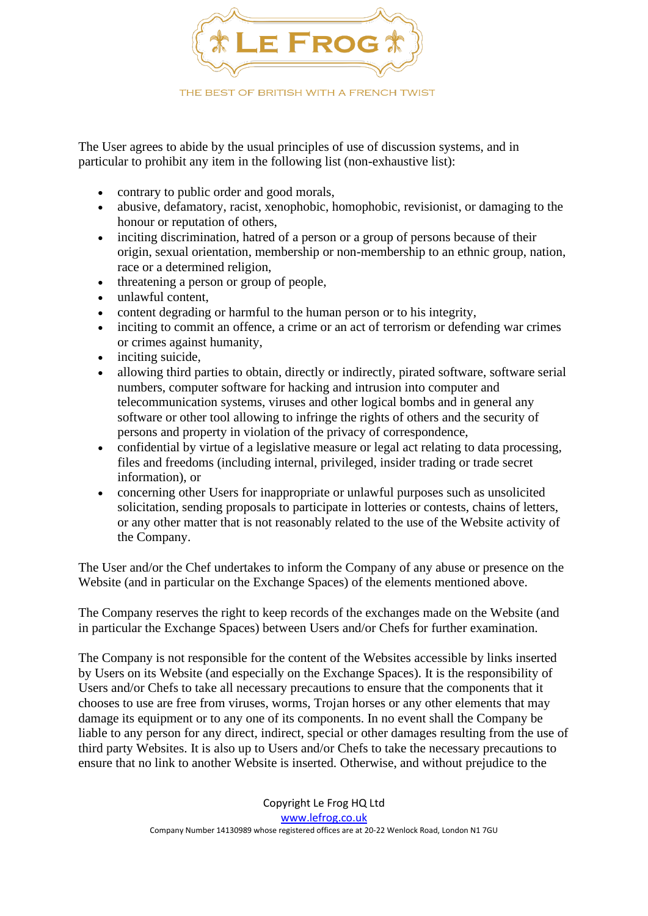

The User agrees to abide by the usual principles of use of discussion systems, and in particular to prohibit any item in the following list (non-exhaustive list):

- contrary to public order and good morals,
- abusive, defamatory, racist, xenophobic, homophobic, revisionist, or damaging to the honour or reputation of others,
- inciting discrimination, hatred of a person or a group of persons because of their origin, sexual orientation, membership or non-membership to an ethnic group, nation, race or a determined religion,
- threatening a person or group of people,
- unlawful content,
- content degrading or harmful to the human person or to his integrity,
- inciting to commit an offence, a crime or an act of terrorism or defending war crimes or crimes against humanity,
- inciting suicide,
- allowing third parties to obtain, directly or indirectly, pirated software, software serial numbers, computer software for hacking and intrusion into computer and telecommunication systems, viruses and other logical bombs and in general any software or other tool allowing to infringe the rights of others and the security of persons and property in violation of the privacy of correspondence,
- confidential by virtue of a legislative measure or legal act relating to data processing, files and freedoms (including internal, privileged, insider trading or trade secret information), or
- concerning other Users for inappropriate or unlawful purposes such as unsolicited solicitation, sending proposals to participate in lotteries or contests, chains of letters, or any other matter that is not reasonably related to the use of the Website activity of the Company.

The User and/or the Chef undertakes to inform the Company of any abuse or presence on the Website (and in particular on the Exchange Spaces) of the elements mentioned above.

The Company reserves the right to keep records of the exchanges made on the Website (and in particular the Exchange Spaces) between Users and/or Chefs for further examination.

The Company is not responsible for the content of the Websites accessible by links inserted by Users on its Website (and especially on the Exchange Spaces). It is the responsibility of Users and/or Chefs to take all necessary precautions to ensure that the components that it chooses to use are free from viruses, worms, Trojan horses or any other elements that may damage its equipment or to any one of its components. In no event shall the Company be liable to any person for any direct, indirect, special or other damages resulting from the use of third party Websites. It is also up to Users and/or Chefs to take the necessary precautions to ensure that no link to another Website is inserted. Otherwise, and without prejudice to the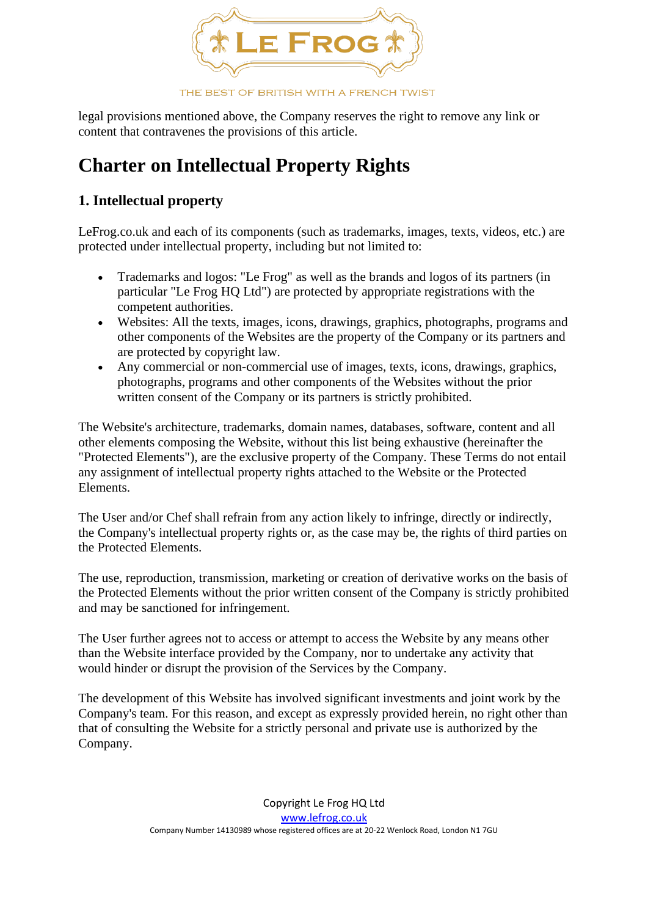

legal provisions mentioned above, the Company reserves the right to remove any link or content that contravenes the provisions of this article.

# **Charter on Intellectual Property Rights**

### **1. Intellectual property**

LeFrog.co.uk and each of its components (such as trademarks, images, texts, videos, etc.) are protected under intellectual property, including but not limited to:

- Trademarks and logos: "Le Frog" as well as the brands and logos of its partners (in particular "Le Frog HQ Ltd") are protected by appropriate registrations with the competent authorities.
- Websites: All the texts, images, icons, drawings, graphics, photographs, programs and other components of the Websites are the property of the Company or its partners and are protected by copyright law.
- Any commercial or non-commercial use of images, texts, icons, drawings, graphics, photographs, programs and other components of the Websites without the prior written consent of the Company or its partners is strictly prohibited.

The Website's architecture, trademarks, domain names, databases, software, content and all other elements composing the Website, without this list being exhaustive (hereinafter the "Protected Elements"), are the exclusive property of the Company. These Terms do not entail any assignment of intellectual property rights attached to the Website or the Protected Elements.

The User and/or Chef shall refrain from any action likely to infringe, directly or indirectly, the Company's intellectual property rights or, as the case may be, the rights of third parties on the Protected Elements.

The use, reproduction, transmission, marketing or creation of derivative works on the basis of the Protected Elements without the prior written consent of the Company is strictly prohibited and may be sanctioned for infringement.

The User further agrees not to access or attempt to access the Website by any means other than the Website interface provided by the Company, nor to undertake any activity that would hinder or disrupt the provision of the Services by the Company.

The development of this Website has involved significant investments and joint work by the Company's team. For this reason, and except as expressly provided herein, no right other than that of consulting the Website for a strictly personal and private use is authorized by the Company.